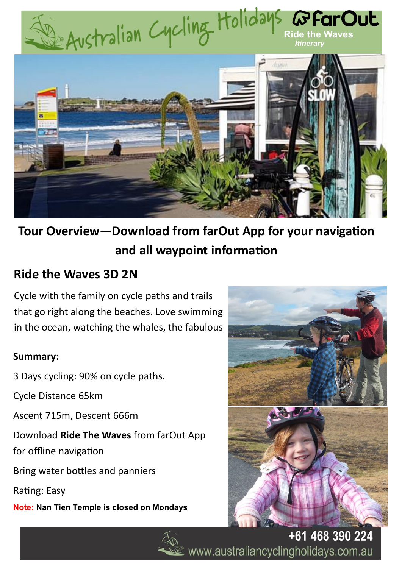

## **Tour Overview—Download from farOut App for your navigation and all waypoint information**

### **Ride the Waves 3D 2N**

Cycle with the family on cycle paths and trails that go right along the beaches. Love swimming in the ocean, watching the whales, the fabulous

#### **Summary:**

3 Days cycling: 90% on cycle paths.

Cycle Distance 65km

Ascent 715m, Descent 666m

Download **Ride The Waves** from farOut App

for offline navigation

Bring water bottles and panniers

Rating: Easy

**Note: Nan Tien Temple is closed on Mondays**



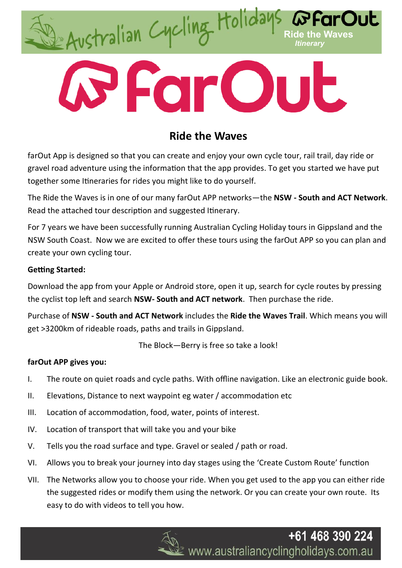

### **Ride the Waves**

farOut App is designed so that you can create and enjoy your own cycle tour, rail trail, day ride or gravel road adventure using the information that the app provides. To get you started we have put together some Itineraries for rides you might like to do yourself.

The Ride the Waves is in one of our many farOut APP networks—the **NSW - South and ACT Network**. Read the attached tour description and suggested Itinerary.

For 7 years we have been successfully running Australian Cycling Holiday tours in Gippsland and the NSW South Coast. Now we are excited to offer these tours using the farOut APP so you can plan and create your own cycling tour.

#### **Getting Started:**

Download the app from your Apple or Android store, open it up, search for cycle routes by pressing the cyclist top left and search **NSW- South and ACT network**. Then purchase the ride.

Purchase of **NSW - South and ACT Network** includes the **Ride the Waves Trail**. Which means you will get >3200km of rideable roads, paths and trails in Gippsland.

The Block—Berry is free so take a look!

#### **farOut APP gives you:**

- I. The route on quiet roads and cycle paths. With offline navigation. Like an electronic guide book.
- II. Elevations, Distance to next waypoint eg water / accommodation etc
- III. Location of accommodation, food, water, points of interest.
- IV. Location of transport that will take you and your bike
- V. Tells you the road surface and type. Gravel or sealed / path or road.
- VI. Allows you to break your journey into day stages using the 'Create Custom Route' function
- VII. The Networks allow you to choose your ride. When you get used to the app you can either ride the suggested rides or modify them using the network. Or you can create your own route. Its easy to do with videos to tell you how.

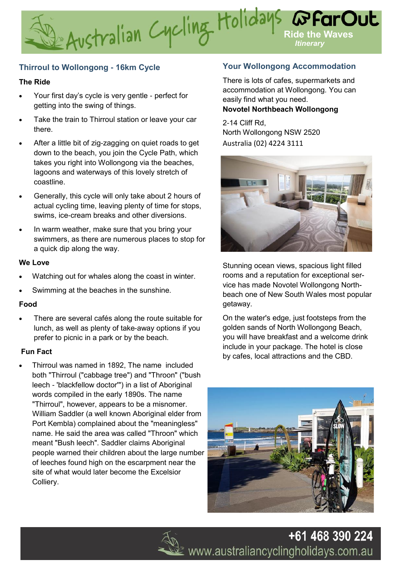

#### **Thirroul to Wollongong - 16km Cycle**

#### **The Ride**

- Your first day's cycle is very gentle perfect for getting into the swing of things.
- Take the train to Thirroul station or leave your car there.
- After a little bit of zig-zagging on quiet roads to get down to the beach, you join the Cycle Path, which takes you right into Wollongong via the beaches, lagoons and waterways of this lovely stretch of coastline.
- Generally, this cycle will only take about 2 hours of actual cycling time, leaving plenty of time for stops, swims, ice-cream breaks and other diversions.
- In warm weather, make sure that you bring your swimmers, as there are numerous places to stop for a quick dip along the way.

#### **We Love**

- Watching out for whales along the coast in winter.
- Swimming at the beaches in the sunshine.

#### **Food**

There are several cafés along the route suitable for lunch, as well as plenty of take-away options if you prefer to picnic in a park or by the beach.

#### **Fun Fact**

• Thirroul was named in 1892, The name included both "Thirroul ("cabbage tree") and "Throon" ("bush leech - 'blackfellow doctor'") in a list of Aboriginal words compiled in the early 1890s. The name "Thirroul", however, appears to be a misnomer. William Saddler (a well known Aboriginal elder from Port Kembla) complained about the "meaningless" name. He said the area was called "Throon" which meant "Bush leech". Saddler claims Aboriginal people warned their children about the large number of leeches found high on the escarpment near the site of what would later become the Excelsior Colliery.

#### **Your Wollongong Accommodation**

There is lots of cafes, supermarkets and accommodation at Wollongong. You can easily find what you need. **Novotel Northbeach Wollongong**

2-14 Cliff Rd, North Wollongong NSW 2520 Australia (02) 4224 3111



Stunning ocean views, spacious light filled rooms and a reputation for exceptional service has made Novotel Wollongong Northbeach one of New South Wales most popular getaway.

On the water's edge, just footsteps from the golden sands of North Wollongong Beach, you will have breakfast and a welcome drink include in your package. The hotel is close by cafes, local attractions and the CBD.



+61 468 390 224 www.australiancyclingholidays.com.au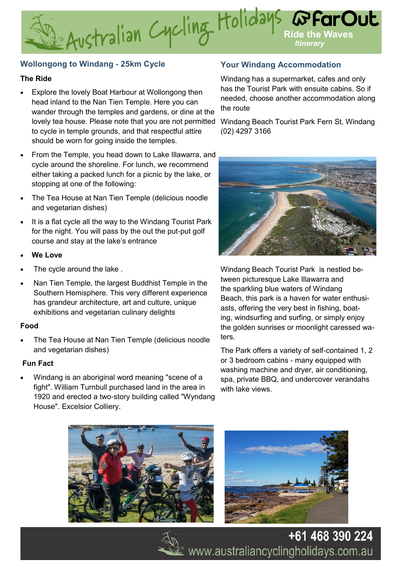

#### **Wollongong to Windang - 25km Cycle**

#### **The Ride**

- Explore the lovely Boat Harbour at Wollongong then head inland to the Nan Tien Temple. Here you can wander through the temples and gardens, or dine at the lovely tea house. Please note that you are not permitted to cycle in temple grounds, and that respectful attire should be worn for going inside the temples.
- From the Temple, you head down to Lake Illawarra, and cycle around the shoreline. For lunch, we recommend either taking a packed lunch for a picnic by the lake, or stopping at one of the following:
- The Tea House at Nan Tien Temple (delicious noodle and vegetarian dishes)
- It is a flat cycle all the way to the Windang Tourist Park for the night. You will pass by the out the put-put golf course and stay at the lake's entrance
- **We Love**
- The cycle around the lake.
- Nan Tien Temple, the largest Buddhist Temple in the Southern Hemisphere. This very different experience has grandeur architecture, art and culture, unique exhibitions and vegetarian culinary delights

#### **Food**

The Tea House at Nan Tien Temple (delicious noodle and vegetarian dishes)

#### **Fun Fact**

• Windang is an aboriginal word meaning "scene of a fight". William Turnbull purchased land in the area in 1920 and erected a two-story building called "Wyndang House". Excelsior Colliery.

#### **Your Windang Accommodation**

Windang has a supermarket, cafes and only has the Tourist Park with ensuite cabins. So if needed, choose another accommodation along the route

Windang Beach Tourist Park Fern St, Windang (02) 4297 3166



Windang Beach Tourist Park is nestled between picturesque Lake Illawarra and the sparkling blue waters of Windang Beach, this park is a haven for water enthusiasts, offering the very best in fishing, boating, windsurfing and surfing, or simply enjoy the golden sunrises or moonlight caressed waters.

The Park offers a variety of self-contained 1, 2 or 3 bedroom cabins - many equipped with washing machine and dryer, air conditioning, spa, private BBQ, and undercover verandahs with lake views.







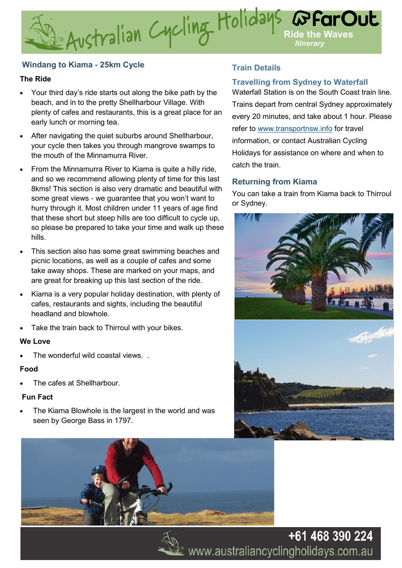# **Ride the Waves** *Itinerary*

#### **Windang to Kiama - 25km Cycle**

#### **The Ride**

- Your third day's ride starts out along the bike path by the beach, and in to the pretty Shellharbour Village. With plenty of cafes and restaurants, this is a great place for an early lunch or morning tea.
- After navigating the quiet suburbs around Shellharbour, your cycle then takes you through mangrove swamps to the mouth of the Minnamurra River.
- From the Minnamurra River to Kiama is quite a hilly ride, and so we recommend allowing plenty of time for this last 8kms! This section is also very dramatic and beautiful with some great views - we guarantee that you won't want to hurry through it. Most children under 11 years of age find that these short but steep hills are too difficult to cycle up, so please be prepared to take your time and walk up these hills.
- This section also has some great swimming beaches and picnic locations, as well as a couple of cafes and some take away shops. These are marked on your maps, and are great for breaking up this last section of the ride.
- Kiama is a very popular holiday destination, with plenty of cafes, restaurants and sights, including the beautiful headland and blowhole.
- Take the train back to Thirroul with your bikes.

#### **We Love**

The wonderful wild coastal views...

#### **Food**

• The cafes at Shellharbour.

#### **Fun Fact**

The Kiama Blowhole is the largest in the world and was seen by George Bass in 1797.

#### **Train Details**

#### **Travelling from Sydney to Waterfall**

Waterfall Station is on the South Coast train line. Trains depart from central Sydney approximately every 20 minutes, and take about 1 hour. Please refer to [www.transportnsw.info](http://www.transportnsw.info) for travel information, or contact Australian Cycling Holidays for assistance on where and when to catch the train.

#### **Returning from Kiama**

You can take a train from Kiama back to Thirroul or Sydney.







+61 468 390 224  $\overline{\mathbb{Z}}$  www.australiancyclingholidays.com.au